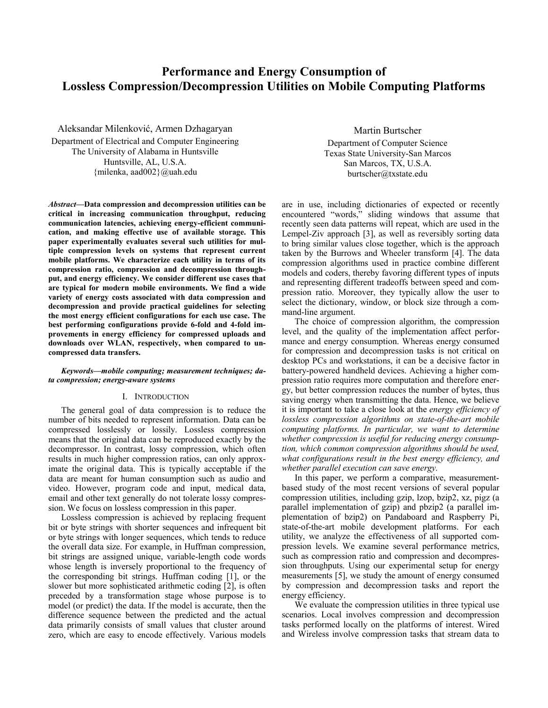# **Performance and Energy Consumption of Lossless Compression/Decompression Utilities on Mobile Computing Platforms**

Aleksandar Milenković, Armen Dzhagaryan Department of Electrical and Computer Engineering The University of Alabama in Huntsville Huntsville, AL, U.S.A. {milenka, aad002}@uah.edu

*Abstract***—Data compression and decompression utilities can be critical in increasing communication throughput, reducing communication latencies, achieving energy-efficient communication, and making effective use of available storage. This paper experimentally evaluates several such utilities for multiple compression levels on systems that represent current mobile platforms. We characterize each utility in terms of its compression ratio, compression and decompression throughput, and energy efficiency. We consider different use cases that are typical for modern mobile environments. We find a wide variety of energy costs associated with data compression and decompression and provide practical guidelines for selecting the most energy efficient configurations for each use case. The best performing configurations provide 6-fold and 4-fold improvements in energy efficiency for compressed uploads and downloads over WLAN, respectively, when compared to uncompressed data transfers.** 

#### *Keywords—mobile computing; measurement techniques; data compression; energy-aware systems*

# I. INTRODUCTION

The general goal of data compression is to reduce the number of bits needed to represent information. Data can be compressed losslessly or lossily. Lossless compression means that the original data can be reproduced exactly by the decompressor. In contrast, lossy compression, which often results in much higher compression ratios, can only approximate the original data. This is typically acceptable if the data are meant for human consumption such as audio and video. However, program code and input, medical data, email and other text generally do not tolerate lossy compression. We focus on lossless compression in this paper.

Lossless compression is achieved by replacing frequent bit or byte strings with shorter sequences and infrequent bit or byte strings with longer sequences, which tends to reduce the overall data size. For example, in Huffman compression, bit strings are assigned unique, variable-length code words whose length is inversely proportional to the frequency of the corresponding bit strings. Huffman coding [1], or the slower but more sophisticated arithmetic coding [2], is often preceded by a transformation stage whose purpose is to model (or predict) the data. If the model is accurate, then the difference sequence between the predicted and the actual data primarily consists of small values that cluster around zero, which are easy to encode effectively. Various models

Martin Burtscher Department of Computer Science Texas State University-San Marcos San Marcos, TX, U.S.A. burtscher@txstate.edu

are in use, including dictionaries of expected or recently encountered "words," sliding windows that assume that recently seen data patterns will repeat, which are used in the Lempel-Ziv approach [3], as well as reversibly sorting data to bring similar values close together, which is the approach taken by the Burrows and Wheeler transform [4]. The data compression algorithms used in practice combine different models and coders, thereby favoring different types of inputs and representing different tradeoffs between speed and compression ratio. Moreover, they typically allow the user to select the dictionary, window, or block size through a command-line argument.

The choice of compression algorithm, the compression level, and the quality of the implementation affect performance and energy consumption. Whereas energy consumed for compression and decompression tasks is not critical on desktop PCs and workstations, it can be a decisive factor in battery-powered handheld devices. Achieving a higher compression ratio requires more computation and therefore energy, but better compression reduces the number of bytes, thus saving energy when transmitting the data. Hence, we believe it is important to take a close look at the *energy efficiency of lossless compression algorithms on state-of-the-art mobile computing platforms. In particular, we want to determine whether compression is useful for reducing energy consumption, which common compression algorithms should be used, what configurations result in the best energy efficiency, and whether parallel execution can save energy.*

In this paper, we perform a comparative, measurementbased study of the most recent versions of several popular compression utilities, including gzip, lzop, bzip2, xz, pigz (a parallel implementation of gzip) and pbzip2 (a parallel implementation of bzip2) on Pandaboard and Raspberry Pi, state-of-the-art mobile development platforms. For each utility, we analyze the effectiveness of all supported compression levels. We examine several performance metrics, such as compression ratio and compression and decompression throughputs. Using our experimental setup for energy measurements [5], we study the amount of energy consumed by compression and decompression tasks and report the energy efficiency.

We evaluate the compression utilities in three typical use scenarios. Local involves compression and decompression tasks performed locally on the platforms of interest. Wired and Wireless involve compression tasks that stream data to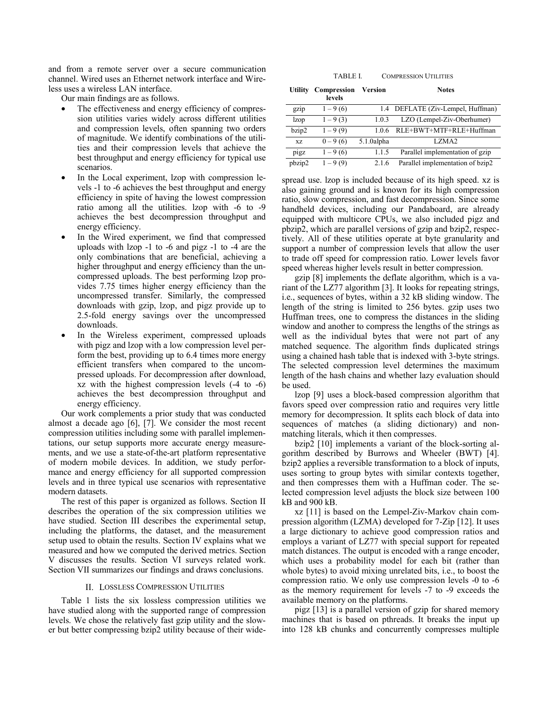and from a remote server over a secure communication channel. Wired uses an Ethernet network interface and Wireless uses a wireless LAN interface.

Our main findings are as follows.

- The effectiveness and energy efficiency of compression utilities varies widely across different utilities and compression levels, often spanning two orders of magnitude. We identify combinations of the utilities and their compression levels that achieve the best throughput and energy efficiency for typical use scenarios.
- In the Local experiment, Izop with compression levels -1 to -6 achieves the best throughput and energy efficiency in spite of having the lowest compression ratio among all the utilities. lzop with -6 to -9 achieves the best decompression throughput and energy efficiency.
- In the Wired experiment, we find that compressed uploads with lzop -1 to -6 and pigz -1 to -4 are the only combinations that are beneficial, achieving a higher throughput and energy efficiency than the uncompressed uploads. The best performing lzop provides 7.75 times higher energy efficiency than the uncompressed transfer. Similarly, the compressed downloads with gzip, lzop, and pigz provide up to 2.5-fold energy savings over the uncompressed downloads.
- In the Wireless experiment, compressed uploads with pigz and lzop with a low compression level perform the best, providing up to 6.4 times more energy efficient transfers when compared to the uncompressed uploads. For decompression after download, xz with the highest compression levels (-4 to -6) achieves the best decompression throughput and energy efficiency.

Our work complements a prior study that was conducted almost a decade ago [6], [7]. We consider the most recent compression utilities including some with parallel implementations, our setup supports more accurate energy measurements, and we use a state-of-the-art platform representative of modern mobile devices. In addition, we study performance and energy efficiency for all supported compression levels and in three typical use scenarios with representative modern datasets.

The rest of this paper is organized as follows. Section II describes the operation of the six compression utilities we have studied. Section III describes the experimental setup, including the platforms, the dataset, and the measurement setup used to obtain the results. Section IV explains what we measured and how we computed the derived metrics. Section V discusses the results. Section VI surveys related work. Section VII summarizes our findings and draws conclusions.

#### II. LOSSLESS COMPRESSION UTILITIES

Table 1 lists the six lossless compression utilities we have studied along with the supported range of compression levels. We chose the relatively fast gzip utility and the slower but better compressing bzip2 utility because of their wide-

TABLE I. COMPRESSION UTILITIES

| <b>Utility</b> | Compression<br>levels | Version    | <b>Notes</b>                      |
|----------------|-----------------------|------------|-----------------------------------|
| gzip           | $1 - 9(6)$            |            | 1.4 DEFLATE (Ziv-Lempel, Huffman) |
| <i>lzop</i>    | $1 - 9(3)$            | 1.0.3      | LZO (Lempel-Ziv-Oberhumer)        |
| bzip2          | $1 - 9(9)$            | 106        | RLE+BWT+MTF+RLE+Huffman           |
| XZ             | $0 - 9(6)$            | 5.1.0alpha | LZMA2                             |
| pigz           | $1 - 9(6)$            | 1.1.5      | Parallel implementation of gzip   |
| pbzip2         | $1 - 9(9)$            | 2.1.6      | Parallel implementation of bzip2  |

spread use. lzop is included because of its high speed. xz is also gaining ground and is known for its high compression ratio, slow compression, and fast decompression. Since some handheld devices, including our Pandaboard, are already equipped with multicore CPUs, we also included pigz and pbzip2, which are parallel versions of gzip and bzip2, respectively. All of these utilities operate at byte granularity and support a number of compression levels that allow the user to trade off speed for compression ratio. Lower levels favor speed whereas higher levels result in better compression.

gzip [8] implements the deflate algorithm, which is a variant of the LZ77 algorithm [3]. It looks for repeating strings, i.e., sequences of bytes, within a 32 kB sliding window. The length of the string is limited to 256 bytes. gzip uses two Huffman trees, one to compress the distances in the sliding window and another to compress the lengths of the strings as well as the individual bytes that were not part of any matched sequence. The algorithm finds duplicated strings using a chained hash table that is indexed with 3-byte strings. The selected compression level determines the maximum length of the hash chains and whether lazy evaluation should be used.

lzop [9] uses a block-based compression algorithm that favors speed over compression ratio and requires very little memory for decompression. It splits each block of data into sequences of matches (a sliding dictionary) and nonmatching literals, which it then compresses.

bzip2 [10] implements a variant of the block-sorting algorithm described by Burrows and Wheeler (BWT) [4]. bzip2 applies a reversible transformation to a block of inputs, uses sorting to group bytes with similar contexts together, and then compresses them with a Huffman coder. The selected compression level adjusts the block size between 100 kB and 900 kB.

xz [11] is based on the Lempel-Ziv-Markov chain compression algorithm (LZMA) developed for 7-Zip [12]. It uses a large dictionary to achieve good compression ratios and employs a variant of LZ77 with special support for repeated match distances. The output is encoded with a range encoder, which uses a probability model for each bit (rather than whole bytes) to avoid mixing unrelated bits, i.e., to boost the compression ratio. We only use compression levels -0 to -6 as the memory requirement for levels -7 to -9 exceeds the available memory on the platforms.

pigz [13] is a parallel version of gzip for shared memory machines that is based on pthreads. It breaks the input up into 128 kB chunks and concurrently compresses multiple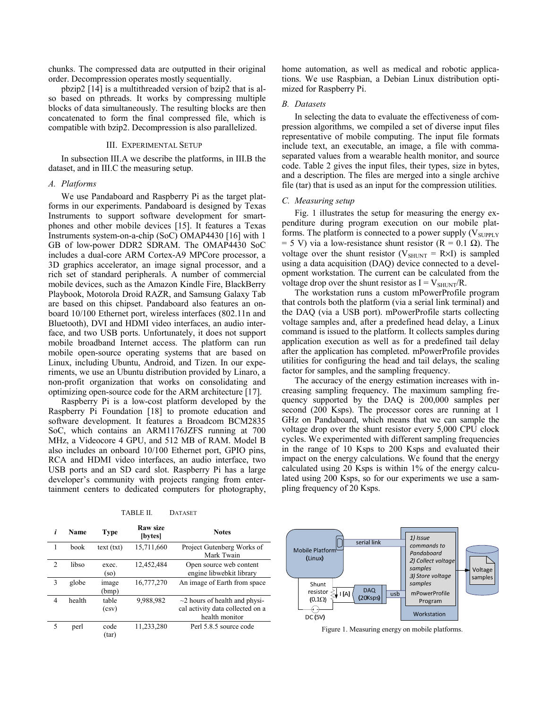chunks. The compressed data are outputted in their original order. Decompression operates mostly sequentially.

pbzip2 [14] is a multithreaded version of bzip2 that is also based on pthreads. It works by compressing multiple blocks of data simultaneously. The resulting blocks are then concatenated to form the final compressed file, which is compatible with bzip2. Decompression is also parallelized.

#### III. EXPERIMENTAL SETUP

In subsection III.A we describe the platforms, in III.B the dataset, and in III.C the measuring setup.

#### *A. Platforms*

We use Pandaboard and Raspberry Pi as the target platforms in our experiments. Pandaboard is designed by Texas Instruments to support software development for smartphones and other mobile devices [15]. It features a Texas Instruments system-on-a-chip (SoC) OMAP4430 [16] with 1 GB of low-power DDR2 SDRAM. The OMAP4430 SoC includes a dual-core ARM Cortex-A9 MPCore processor, a 3D graphics accelerator, an image signal processor, and a rich set of standard peripherals. A number of commercial mobile devices, such as the Amazon Kindle Fire, BlackBerry Playbook, Motorola Droid RAZR, and Samsung Galaxy Tab are based on this chipset. Pandaboard also features an onboard 10/100 Ethernet port, wireless interfaces (802.11n and Bluetooth), DVI and HDMI video interfaces, an audio interface, and two USB ports. Unfortunately, it does not support mobile broadband Internet access. The platform can run mobile open-source operating systems that are based on Linux, including Ubuntu, Android, and Tizen. In our experiments, we use an Ubuntu distribution provided by Linaro, a non-profit organization that works on consolidating and optimizing open-source code for the ARM architecture [17].

Raspberry Pi is a low-cost platform developed by the Raspberry Pi Foundation [18] to promote education and software development. It features a Broadcom BCM2835 SoC, which contains an ARM1176JZFS running at 700 MHz, a Videocore 4 GPU, and 512 MB of RAM. Model B also includes an onboard 10/100 Ethernet port, GPIO pins, RCA and HDMI video interfaces, an audio interface, two USB ports and an SD card slot. Raspberry Pi has a large developer's community with projects ranging from entertainment centers to dedicated computers for photography,

| i | Name   | Type           | <b>Raw size</b><br>[bytes] | <b>Notes</b>                                                                              |  |  |
|---|--------|----------------|----------------------------|-------------------------------------------------------------------------------------------|--|--|
| 1 | book   | text (txt)     | 15,711,660                 | Project Gutenberg Works of<br>Mark Twain                                                  |  |  |
| 2 | libso  | exec.<br>(so)  | 12,452,484                 | Open source web content<br>engine libwebkit library                                       |  |  |
| 3 | globe  | image<br>(bmp) | 16,777,270                 | An image of Earth from space                                                              |  |  |
| 4 | health | table<br>(csv) | 9,988,982                  | $\sim$ 2 hours of health and physi-<br>cal activity data collected on a<br>health monitor |  |  |
| 5 | perl   | code<br>(tar)  | 11,233,280                 | Perl 5.8.5 source code                                                                    |  |  |

home automation, as well as medical and robotic applications. We use Raspbian, a Debian Linux distribution optimized for Raspberry Pi.

# *B. Datasets*

In selecting the data to evaluate the effectiveness of compression algorithms, we compiled a set of diverse input files representative of mobile computing. The input file formats include text, an executable, an image, a file with commaseparated values from a wearable health monitor, and source code. Table 2 gives the input files, their types, size in bytes, and a description. The files are merged into a single archive file (tar) that is used as an input for the compression utilities.

# *C. Measuring setup*

Fig. 1 illustrates the setup for measuring the energy expenditure during program execution on our mobile platforms. The platform is connected to a power supply  $(V_{\text{SUPPLY}})$  $= 5$  V) via a low-resistance shunt resistor (R = 0.1  $\Omega$ ). The voltage over the shunt resistor ( $V_{\text{SHUNT}} = R \times I$ ) is sampled using a data acquisition (DAQ) device connected to a development workstation. The current can be calculated from the voltage drop over the shunt resistor as  $I = V_{\text{SHL}N} / R$ .

The workstation runs a custom mPowerProfile program that controls both the platform (via a serial link terminal) and the DAQ (via a USB port). mPowerProfile starts collecting voltage samples and, after a predefined head delay, a Linux command is issued to the platform. It collects samples during application execution as well as for a predefined tail delay after the application has completed. mPowerProfile provides utilities for configuring the head and tail delays, the scaling factor for samples, and the sampling frequency.

The accuracy of the energy estimation increases with increasing sampling frequency. The maximum sampling frequency supported by the DAQ is 200,000 samples per second (200 Ksps). The processor cores are running at 1 GHz on Pandaboard, which means that we can sample the voltage drop over the shunt resistor every 5,000 CPU clock cycles. We experimented with different sampling frequencies in the range of 10 Ksps to 200 Ksps and evaluated their impact on the energy calculations. We found that the energy calculated using 20 Ksps is within 1% of the energy calculated using 200 Ksps, so for our experiments we use a sampling frequency of 20 Ksps.



Figure 1. Measuring energy on mobile platforms.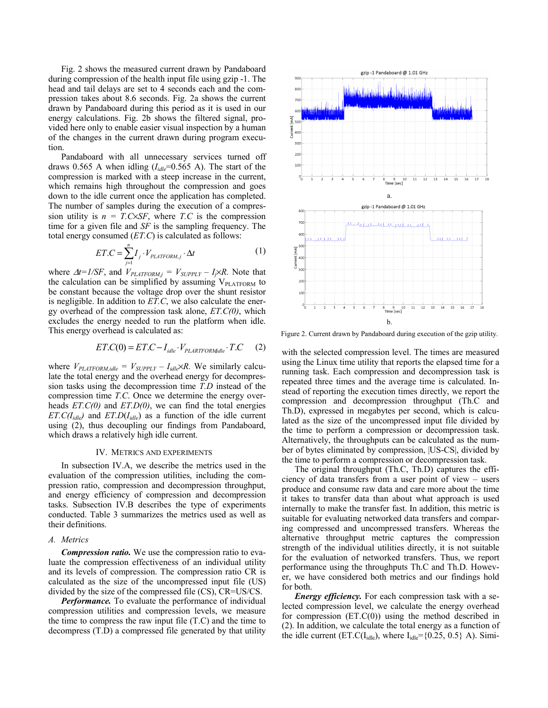Fig. 2 shows the measured current drawn by Pandaboard during compression of the health input file using gzip -1. The head and tail delays are set to 4 seconds each and the compression takes about 8.6 seconds. Fig. 2a shows the current drawn by Pandaboard during this period as it is used in our energy calculations. Fig. 2b shows the filtered signal, provided here only to enable easier visual inspection by a human of the changes in the current drawn during program execution.

Pandaboard with all unnecessary services turned off draws 0.565 A when idling  $(I_{idle} = 0.565 \text{ A})$ . The start of the compression is marked with a steep increase in the current, which remains high throughout the compression and goes down to the idle current once the application has completed. The number of samples during the execution of a compression utility is  $n = T.C\times SF$ , where *T.C* is the compression time for a given file and *SF* is the sampling frequency. The total energy consumed (*ET.C*) is calculated as follows:

$$
ET.C = \sum_{j=1}^{n} I_j \cdot V_{PLATFORM,j} \cdot \Delta t \tag{1}
$$

where  $\Delta t = I/SF$ , and  $V_{PLATFORM,j} = V_{SUPPLY} - I_j \times R$ . Note that the calculation can be simplified by assuming  $V_{\text{PLATFORM}}$  to be constant because the voltage drop over the shunt resistor is negligible. In addition to *ET.C*, we also calculate the energy overhead of the compression task alone, *ET.C(0)*, which excludes the energy needed to run the platform when idle. This energy overhead is calculated as:

$$
ET.C(0) = ET.C - Iidle \cdot VPLARTFORMidle \cdot T.C (2)
$$

where  $V_{PLATFORM,idle} = V_{SUPPLY} - I_{idle} \times R$ . We similarly calculate the total energy and the overhead energy for decompression tasks using the decompression time *T.D* instead of the compression time *T.C*. Once we determine the energy overheads *ET.C(0)* and *ET.D(0)*, we can find the total energies *ET.C(I<sub>idle</sub>)* and *ET.D(I<sub>idle</sub>*) as a function of the idle current using (2), thus decoupling our findings from Pandaboard, which draws a relatively high idle current.

#### IV. METRICS AND EXPERIMENTS

In subsection IV.A, we describe the metrics used in the evaluation of the compression utilities, including the compression ratio, compression and decompression throughput, and energy efficiency of compression and decompression tasks. Subsection IV.B describes the type of experiments conducted. Table 3 summarizes the metrics used as well as their definitions.

# *A. Metrics*

*Compression ratio.* We use the compression ratio to evaluate the compression effectiveness of an individual utility and its levels of compression. The compression ratio CR is calculated as the size of the uncompressed input file (US) divided by the size of the compressed file (CS), CR=US/CS.

*Performance.* To evaluate the performance of individual compression utilities and compression levels, we measure the time to compress the raw input file  $(T.C)$  and the time to decompress (T.D) a compressed file generated by that utility



Figure 2. Current drawn by Pandaboard during execution of the gzip utility.

with the selected compression level. The times are measured using the Linux time utility that reports the elapsed time for a running task. Each compression and decompression task is repeated three times and the average time is calculated. Instead of reporting the execution times directly, we report the compression and decompression throughput (Th.C and Th.D), expressed in megabytes per second, which is calculated as the size of the uncompressed input file divided by the time to perform a compression or decompression task. Alternatively, the throughputs can be calculated as the number of bytes eliminated by compression, |US-CS|, divided by the time to perform a compression or decompression task.

The original throughput (Th.C, Th.D) captures the efficiency of data transfers from a user point of view – users produce and consume raw data and care more about the time it takes to transfer data than about what approach is used internally to make the transfer fast. In addition, this metric is suitable for evaluating networked data transfers and comparing compressed and uncompressed transfers. Whereas the alternative throughput metric captures the compression strength of the individual utilities directly, it is not suitable for the evaluation of networked transfers. Thus, we report performance using the throughputs Th.C and Th.D. However, we have considered both metrics and our findings hold for both.

*Energy efficiency.* For each compression task with a selected compression level, we calculate the energy overhead for compression  $(ET.C(0))$  using the method described in (2). In addition, we calculate the total energy as a function of the idle current (ET.C(I<sub>idle</sub>), where  $I_{idle} = \{0.25, 0.5\}$  A). Simi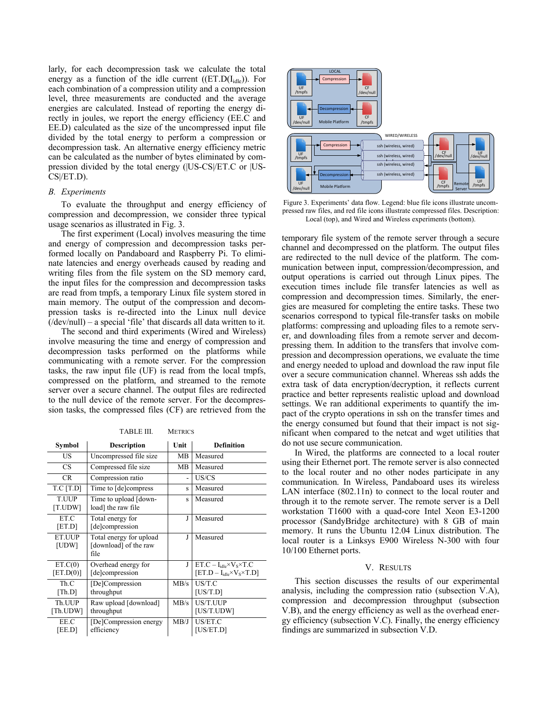larly, for each decompression task we calculate the total energy as a function of the idle current ( $(ET.D(I_{idle}))$ ). For each combination of a compression utility and a compression level, three measurements are conducted and the average energies are calculated. Instead of reporting the energy directly in joules, we report the energy efficiency (EE.C and EE.D) calculated as the size of the uncompressed input file divided by the total energy to perform a compression or decompression task. An alternative energy efficiency metric can be calculated as the number of bytes eliminated by compression divided by the total energy (|US-CS|/ET.C or |US-CS|/ET.D).

### *B. Experiments*

To evaluate the throughput and energy efficiency of compression and decompression, we consider three typical usage scenarios as illustrated in Fig. 3.

The first experiment (Local) involves measuring the time and energy of compression and decompression tasks performed locally on Pandaboard and Raspberry Pi. To eliminate latencies and energy overheads caused by reading and writing files from the file system on the SD memory card, the input files for the compression and decompression tasks are read from tmpfs, a temporary Linux file system stored in main memory. The output of the compression and decompression tasks is re-directed into the Linux null device  $(dev/null)$  – a special 'file' that discards all data written to it.

The second and third experiments (Wired and Wireless) involve measuring the time and energy of compression and decompression tasks performed on the platforms while communicating with a remote server. For the compression tasks, the raw input file (UF) is read from the local tmpfs, compressed on the platform, and streamed to the remote server over a secure channel. The output files are redirected to the null device of the remote server. For the decompression tasks, the compressed files (CF) are retrieved from the

TABLE III. METRICS

| <b>Symbol</b>           | <b>Description</b>                                       | Unit                     | <b>Definition</b>                                                                  |  |  |  |
|-------------------------|----------------------------------------------------------|--------------------------|------------------------------------------------------------------------------------|--|--|--|
| US                      | Uncompressed file size                                   | MВ                       | Measured                                                                           |  |  |  |
| <b>CS</b>               | Compressed file size                                     | MВ                       | Measured                                                                           |  |  |  |
| CR.                     | Compression ratio                                        | $\overline{\phantom{0}}$ | US/CS                                                                              |  |  |  |
| T.C[T.D]                | Time to [de]compress                                     | S                        | Measured                                                                           |  |  |  |
| <b>T.UUP</b><br>[T.UDW] | Time to upload [down-<br>load] the raw file              | S                        | Measured                                                                           |  |  |  |
| ET.C<br>[ET.D]          | Total energy for<br>[de]compression                      | J                        | Measured                                                                           |  |  |  |
| ET.UUP<br>[UDW]         | Total energy for upload<br>[download] of the raw<br>file | J                        | Measured                                                                           |  |  |  |
| ET.C(0)<br>[ET.D(0)]    | Overhead energy for<br>[de]compression                   | J                        | $ET.C-I_{idle} \times V_S \times T.C$<br>$[ET.D - I_{idle} \times V_S \times T.D]$ |  |  |  |
| Th.C<br>[Th.D]          | [De]Compression<br>throughput                            | MB/s                     | US/T.C<br>[US/T.D]                                                                 |  |  |  |
| Th.UUP<br>[Th.UDW]      | Raw upload [download]<br>throughput                      | MB/s                     | US/T.UUP<br>[US/T.UDW]                                                             |  |  |  |
| EE.C<br>[EE.D]          | [De]Compression energy<br>efficiency                     | MB/J                     | US/ET.C<br>[US/ET.D]                                                               |  |  |  |



Figure 3. Experiments' data flow. Legend: blue file icons illustrate uncompressed raw files, and red file icons illustrate compressed files. Description: Local (top), and Wired and Wireless experiments (bottom).

temporary file system of the remote server through a secure channel and decompressed on the platform. The output files are redirected to the null device of the platform. The communication between input, compression/decompression, and output operations is carried out through Linux pipes. The execution times include file transfer latencies as well as compression and decompression times. Similarly, the energies are measured for completing the entire tasks. These two scenarios correspond to typical file-transfer tasks on mobile platforms: compressing and uploading files to a remote server, and downloading files from a remote server and decompressing them. In addition to the transfers that involve compression and decompression operations, we evaluate the time and energy needed to upload and download the raw input file over a secure communication channel. Whereas ssh adds the extra task of data encryption/decryption, it reflects current practice and better represents realistic upload and download settings. We ran additional experiments to quantify the impact of the crypto operations in ssh on the transfer times and the energy consumed but found that their impact is not significant when compared to the netcat and wget utilities that do not use secure communication.

In Wired, the platforms are connected to a local router using their Ethernet port. The remote server is also connected to the local router and no other nodes participate in any communication. In Wireless, Pandaboard uses its wireless LAN interface (802.11n) to connect to the local router and through it to the remote server. The remote server is a Dell workstation T1600 with a quad-core Intel Xeon E3-1200 processor (SandyBridge architecture) with 8 GB of main memory. It runs the Ubuntu 12.04 Linux distribution. The local router is a Linksys E900 Wireless N-300 with four 10/100 Ethernet ports.

# V. RESULTS

This section discusses the results of our experimental analysis, including the compression ratio (subsection V.A), compression and decompression throughput (subsection V.B), and the energy efficiency as well as the overhead energy efficiency (subsection V.C). Finally, the energy efficiency findings are summarized in subsection V.D.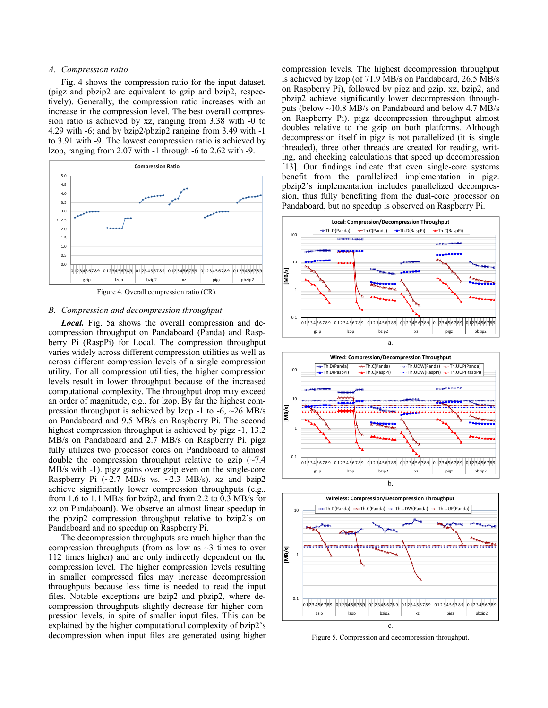# *A. Compression ratio*

Fig. 4 shows the compression ratio for the input dataset. (pigz and pbzip2 are equivalent to gzip and bzip2, respectively). Generally, the compression ratio increases with an increase in the compression level. The best overall compression ratio is achieved by xz, ranging from 3.38 with -0 to 4.29 with -6; and by bzip2/pbzip2 ranging from 3.49 with -1 to 3.91 with -9. The lowest compression ratio is achieved by lzop, ranging from 2.07 with -1 through -6 to 2.62 with -9.



# *B. Compression and decompression throughput*

*Local.* Fig. 5a shows the overall compression and decompression throughput on Pandaboard (Panda) and Raspberry Pi (RaspPi) for Local. The compression throughput varies widely across different compression utilities as well as across different compression levels of a single compression utility. For all compression utilities, the higher compression levels result in lower throughput because of the increased computational complexity. The throughput drop may exceed an order of magnitude, e.g., for lzop. By far the highest compression throughput is achieved by lzop -1 to -6, ~26 MB/s on Pandaboard and 9.5 MB/s on Raspberry Pi. The second highest compression throughput is achieved by pigz -1, 13.2 MB/s on Pandaboard and 2.7 MB/s on Raspberry Pi. pigz fully utilizes two processor cores on Pandaboard to almost double the compression throughput relative to gzip  $\sim 7.4$ MB/s with -1). pigz gains over gzip even on the single-core Raspberry Pi  $(\sim 2.7 \text{ MB/s} \text{ vs. } \sim 2.3 \text{ MB/s})$ . xz and bzip2 achieve significantly lower compression throughputs (e.g., from 1.6 to 1.1 MB/s for bzip2, and from 2.2 to 0.3 MB/s for xz on Pandaboard). We observe an almost linear speedup in the pbzip2 compression throughput relative to bzip2's on Pandaboard and no speedup on Raspberry Pi.

The decompression throughputs are much higher than the compression throughputs (from as low as  $\sim$ 3 times to over 112 times higher) and are only indirectly dependent on the compression level. The higher compression levels resulting in smaller compressed files may increase decompression throughputs because less time is needed to read the input files. Notable exceptions are bzip2 and pbzip2, where decompression throughputs slightly decrease for higher compression levels, in spite of smaller input files. This can be explained by the higher computational complexity of bzip2's decompression when input files are generated using higher compression levels. The highest decompression throughput is achieved by lzop (of 71.9 MB/s on Pandaboard, 26.5 MB/s on Raspberry Pi), followed by pigz and gzip. xz, bzip2, and pbzip2 achieve significantly lower decompression throughputs (below ~10.8 MB/s on Pandaboard and below 4.7 MB/s on Raspberry Pi). pigz decompression throughput almost doubles relative to the gzip on both platforms. Although decompression itself in pigz is not parallelized (it is single threaded), three other threads are created for reading, writing, and checking calculations that speed up decompression [13]. Our findings indicate that even single-core systems benefit from the parallelized implementation in pigz. pbzip2's implementation includes parallelized decompression, thus fully benefiting from the dual-core processor on Pandaboard, but no speedup is observed on Raspberry Pi.







Figure 5. Compression and decompression throughput.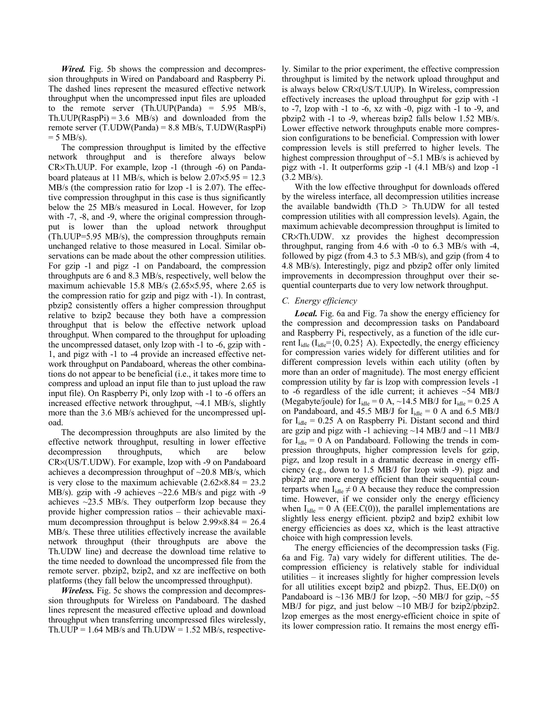*Wired.* Fig. 5b shows the compression and decompression throughputs in Wired on Pandaboard and Raspberry Pi. The dashed lines represent the measured effective network throughput when the uncompressed input files are uploaded to the remote server (Th.UUP(Panda) =  $5.95$  MB/s, Th.UUP(RaspPi) =  $3.6$  MB/s) and downloaded from the remote server (T.UDW(Panda) = 8.8 MB/s, T.UDW(RaspPi)  $= 5$  MB/s).

The compression throughput is limited by the effective network throughput and is therefore always below CR×Th.UUP. For example, lzop -1 (through -6) on Pandaboard plateaus at 11 MB/s, which is below  $2.07 \times 5.95 = 12.3$ MB/s (the compression ratio for lzop -1 is 2.07). The effective compression throughput in this case is thus significantly below the 25 MB/s measured in Local. However, for lzop with  $-7$ ,  $-8$ , and  $-9$ , where the original compression throughput is lower than the upload network throughput (Th.UUP=5.95 MB/s), the compression throughputs remain unchanged relative to those measured in Local. Similar observations can be made about the other compression utilities. For gzip -1 and pigz -1 on Pandaboard, the compression throughputs are 6 and 8.3 MB/s, respectively, well below the maximum achievable 15.8 MB/s (2.65×5.95, where 2.65 is the compression ratio for gzip and pigz with -1). In contrast, pbzip2 consistently offers a higher compression throughput relative to bzip2 because they both have a compression throughput that is below the effective network upload throughput. When compared to the throughput for uploading the uncompressed dataset, only lzop with -1 to -6, gzip with - 1, and pigz with -1 to -4 provide an increased effective network throughput on Pandaboard, whereas the other combinations do not appear to be beneficial (i.e., it takes more time to compress and upload an input file than to just upload the raw input file). On Raspberry Pi, only lzop with -1 to -6 offers an increased effective network throughput,  $\sim$ 4.1 MB/s, slightly more than the 3.6 MB/s achieved for the uncompressed upload.

The decompression throughputs are also limited by the effective network throughput, resulting in lower effective decompression throughputs, which are below CR×(US/T.UDW). For example, lzop with -9 on Pandaboard achieves a decompression throughput of  $\sim$ 20.8 MB/s, which is very close to the maximum achievable  $(2.62 \times 8.84 = 23.2)$ MB/s). gzip with -9 achieves ~22.6 MB/s and pigz with -9 achieves  $\sim$ 23.5 MB/s. They outperform lzop because they provide higher compression ratios – their achievable maximum decompression throughput is below  $2.99\times8.84 = 26.4$ MB/s. These three utilities effectively increase the available network throughput (their throughputs are above the Th.UDW line) and decrease the download time relative to the time needed to download the uncompressed file from the remote server. pbzip2, bzip2, and xz are ineffective on both platforms (they fall below the uncompressed throughput).

*Wireless.* Fig. 5c shows the compression and decompression throughputs for Wireless on Pandaboard. The dashed lines represent the measured effective upload and download throughput when transferring uncompressed files wirelessly, Th.UUP =  $1.64$  MB/s and Th.UDW =  $1.52$  MB/s, respectively. Similar to the prior experiment, the effective compression throughput is limited by the network upload throughput and is always below CR×(US/T.UUP). In Wireless, compression effectively increases the upload throughput for gzip with -1 to -7, lzop with -1 to -6, xz with -0, pigz with -1 to -9, and pbzip2 with -1 to -9, whereas bzip2 falls below 1.52 MB/s. Lower effective network throughputs enable more compression configurations to be beneficial. Compression with lower compression levels is still preferred to higher levels. The highest compression throughput of  $\sim$ 5.1 MB/s is achieved by pigz with -1. It outperforms gzip -1 (4.1 MB/s) and lzop -1 (3.2 MB/s).

With the low effective throughput for downloads offered by the wireless interface, all decompression utilities increase the available bandwidth (Th. $D > Th.UDW$  for all tested compression utilities with all compression levels). Again, the maximum achievable decompression throughput is limited to CR×Th.UDW. xz provides the highest decompression throughput, ranging from 4.6 with -0 to 6.3 MB/s with -4, followed by pigz (from 4.3 to 5.3 MB/s), and gzip (from 4 to 4.8 MB/s). Interestingly, pigz and pbzip2 offer only limited improvements in decompression throughput over their sequential counterparts due to very low network throughput.

# *C. Energy efficiency*

*Local.* Fig. 6a and Fig. 7a show the energy efficiency for the compression and decompression tasks on Pandaboard and Raspberry Pi, respectively, as a function of the idle current  $I_{idle}$  ( $I_{idle}$ ={0, 0.25} A). Expectedly, the energy efficiency for compression varies widely for different utilities and for different compression levels within each utility (often by more than an order of magnitude). The most energy efficient compression utility by far is lzop with compression levels -1 to -6 regardless of the idle current; it achieves  $\sim$  54 MB/J (Megabyte/joule) for  $I_{idle} = 0$  A,  $\sim$ 14.5 MB/J for  $I_{idle} = 0.25$  A on Pandaboard, and 45.5 MB/J for  $I_{idle} = 0$  A and 6.5 MB/J for  $I_{idle} = 0.25$  A on Raspberry Pi. Distant second and third are gzip and pigz with -1 achieving  $\sim$ 14 MB/J and  $\sim$ 11 MB/J for  $I_{idle} = 0$  A on Pandaboard. Following the trends in compression throughputs, higher compression levels for gzip, pigz, and lzop result in a dramatic decrease in energy efficiency (e.g., down to 1.5 MB/J for lzop with -9). pigz and pbizp2 are more energy efficient than their sequential counterparts when  $I_{idle} \neq 0$  A because they reduce the compression time. However, if we consider only the energy efficiency when  $I_{idle} = 0$  A (EE.C(0)), the parallel implementations are slightly less energy efficient. pbzip2 and bzip2 exhibit low energy efficiencies as does xz, which is the least attractive choice with high compression levels.

The energy efficiencies of the decompression tasks (Fig. 6a and Fig. 7a) vary widely for different utilities. The decompression efficiency is relatively stable for individual utilities – it increases slightly for higher compression levels for all utilities except bzip2 and pbizp2. Thus, EE.D(0) on Pandaboard is  $\sim$ 136 MB/J for lzop,  $\sim$ 50 MB/J for gzip,  $\sim$ 55 MB/J for pigz, and just below ~10 MB/J for bzip2/pbzip2. lzop emerges as the most energy-efficient choice in spite of its lower compression ratio. It remains the most energy effi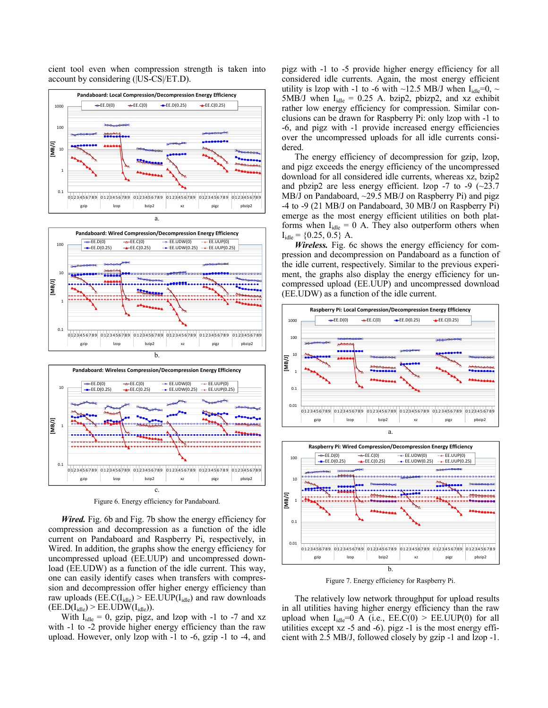cient tool even when compression strength is taken into account by considering (|US-CS|/ET.D).





Figure 6. Energy efficiency for Pandaboard.

*Wired.* Fig. 6b and Fig. 7b show the energy efficiency for compression and decompression as a function of the idle current on Pandaboard and Raspberry Pi, respectively, in Wired. In addition, the graphs show the energy efficiency for uncompressed upload (EE.UUP) and uncompressed download (EE.UDW) as a function of the idle current. This way, one can easily identify cases when transfers with compression and decompression offer higher energy efficiency than raw uploads ( $\text{EE.C(I<sub>idle</sub>) > EE.UUP(I<sub>idle</sub>)}$  and raw downloads  $(EE.D(I<sub>idle</sub>) > EE.UDW(I<sub>idle</sub>)).$ 

With  $I_{idle} = 0$ , gzip, pigz, and lzop with -1 to -7 and xz with -1 to -2 provide higher energy efficiency than the raw upload. However, only lzop with -1 to -6, gzip -1 to -4, and pigz with -1 to -5 provide higher energy efficiency for all considered idle currents. Again, the most energy efficient utility is lzop with -1 to -6 with ~12.5 MB/J when  $I_{idle}=0$ , ~ 5MB/J when  $I_{idle} = 0.25$  A. bzip2, pbizp2, and xz exhibit rather low energy efficiency for compression. Similar conclusions can be drawn for Raspberry Pi: only lzop with -1 to -6, and pigz with -1 provide increased energy efficiencies over the uncompressed uploads for all idle currents considered.

The energy efficiency of decompression for gzip, lzop, and pigz exceeds the energy efficiency of the uncompressed download for all considered idle currents, whereas xz, bzip2 and pbzip2 are less energy efficient. lzop  $-7$  to  $-9$  ( $\sim$ 23.7) MB/J on Pandaboard, ~29.5 MB/J on Raspberry Pi) and pigz -4 to -9 (21 MB/J on Pandaboard, 30 MB/J on Raspberry Pi) emerge as the most energy efficient utilities on both platforms when  $I_{idle} = 0$  A. They also outperform others when  $I_{idle} = \{0.25, 0.5\}$  A.

*Wireless.* Fig. 6c shows the energy efficiency for compression and decompression on Pandaboard as a function of the idle current, respectively. Similar to the previous experiment, the graphs also display the energy efficiency for uncompressed upload (EE.UUP) and uncompressed download (EE.UDW) as a function of the idle current.





Figure 7. Energy efficiency for Raspberry Pi.

The relatively low network throughput for upload results in all utilities having higher energy efficiency than the raw upload when  $I_{idle} = 0$  A (i.e.,  $EE.C(0) > EE.UUP(0)$  for all utilities except xz -5 and -6). pigz -1 is the most energy efficient with 2.5 MB/J, followed closely by gzip -1 and lzop -1.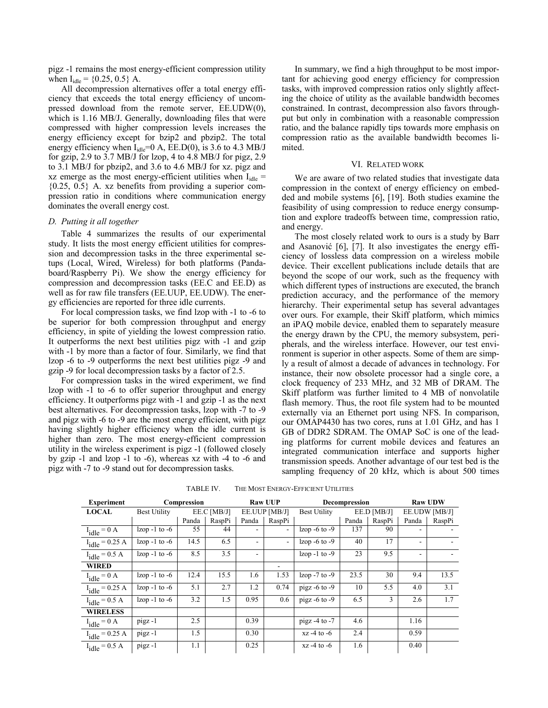pigz -1 remains the most energy-efficient compression utility when  $I_{idle} = \{0.25, 0.5\}$  A.

All decompression alternatives offer a total energy efficiency that exceeds the total energy efficiency of uncompressed download from the remote server, EE.UDW(0), which is 1.16 MB/J. Generally, downloading files that were compressed with higher compression levels increases the energy efficiency except for bzip2 and pbzip2. The total energy efficiency when  $I_{idle} = 0$  A,  $E. D(0)$ , is 3.6 to 4.3 MB/J for gzip, 2.9 to 3.7 MB/J for lzop, 4 to 4.8 MB/J for pigz, 2.9 to 3.1 MB/J for pbzip2, and 3.6 to 4.6 MB/J for xz. pigz and xz emerge as the most energy-efficient utilities when  $I_{idle}$  = {0.25, 0.5} A. xz benefits from providing a superior compression ratio in conditions where communication energy dominates the overall energy cost.

# *D. Putting it all together*

Table 4 summarizes the results of our experimental study. It lists the most energy efficient utilities for compression and decompression tasks in the three experimental setups (Local, Wired, Wireless) for both platforms (Pandaboard/Raspberry Pi). We show the energy efficiency for compression and decompression tasks (EE.C and EE.D) as well as for raw file transfers (EE.UUP, EE.UDW). The energy efficiencies are reported for three idle currents.

For local compression tasks, we find lzop with -1 to -6 to be superior for both compression throughput and energy efficiency, in spite of yielding the lowest compression ratio. It outperforms the next best utilities pigz with -1 and gzip with -1 by more than a factor of four. Similarly, we find that lzop -6 to -9 outperforms the next best utilities pigz -9 and gzip -9 for local decompression tasks by a factor of 2.5.

For compression tasks in the wired experiment, we find lzop with -1 to -6 to offer superior throughput and energy efficiency. It outperforms pigz with -1 and gzip -1 as the next best alternatives. For decompression tasks, lzop with -7 to -9 and pigz with -6 to -9 are the most energy efficient, with pigz having slightly higher efficiency when the idle current is higher than zero. The most energy-efficient compression utility in the wireless experiment is pigz -1 (followed closely by gzip -1 and lzop -1 to -6), whereas xz with -4 to -6 and pigz with -7 to -9 stand out for decompression tasks.

In summary, we find a high throughput to be most important for achieving good energy efficiency for compression tasks, with improved compression ratios only slightly affecting the choice of utility as the available bandwidth becomes constrained. In contrast, decompression also favors throughput but only in combination with a reasonable compression ratio, and the balance rapidly tips towards more emphasis on compression ratio as the available bandwidth becomes limited.

#### VI. RELATED WORK

We are aware of two related studies that investigate data compression in the context of energy efficiency on embedded and mobile systems [6], [19]. Both studies examine the feasibility of using compression to reduce energy consumption and explore tradeoffs between time, compression ratio, and energy.

The most closely related work to ours is a study by Barr and Asanović [6], [7]. It also investigates the energy efficiency of lossless data compression on a wireless mobile device. Their excellent publications include details that are beyond the scope of our work, such as the frequency with which different types of instructions are executed, the branch prediction accuracy, and the performance of the memory hierarchy. Their experimental setup has several advantages over ours. For example, their Skiff platform, which mimics an iPAQ mobile device, enabled them to separately measure the energy drawn by the CPU, the memory subsystem, peripherals, and the wireless interface. However, our test environment is superior in other aspects. Some of them are simply a result of almost a decade of advances in technology. For instance, their now obsolete processor had a single core, a clock frequency of 233 MHz, and 32 MB of DRAM. The Skiff platform was further limited to 4 MB of nonvolatile flash memory. Thus, the root file system had to be mounted externally via an Ethernet port using NFS. In comparison, our OMAP4430 has two cores, runs at 1.01 GHz, and has 1 GB of DDR2 SDRAM. The OMAP SoC is one of the leading platforms for current mobile devices and features an integrated communication interface and supports higher transmission speeds. Another advantage of our test bed is the sampling frequency of 20 kHz, which is about 500 times

TABLE IV. THE MOST ENERGY-EFFICIENT UTILITIES

| <b>Experiment</b>   | Compression         |       |             | <b>Raw UUP</b> |        | <b>Decompression</b> |             |        | <b>Raw UDW</b> |        |
|---------------------|---------------------|-------|-------------|----------------|--------|----------------------|-------------|--------|----------------|--------|
| <b>LOCAL</b>        | <b>Best Utility</b> |       | EE.C [MB/J] | EE.UUP [MB/J]  |        | <b>Best Utility</b>  | EE.D [MB/J] |        | EE.UDW [MB/J]  |        |
|                     |                     | Panda | RaspPi      | Panda          | RaspPi |                      | Panda       | RaspPi | Panda          | RaspPi |
| $I_{idle} = 0 A$    | $l$ zop -1 to -6    | 55    | 44          |                |        | $l$ zop -6 to -9     | 137         | 90     |                |        |
| $I_{idle} = 0.25 A$ | $l$ zop -1 to -6    | 14.5  | 6.5         |                |        | $l$ zop -6 to -9     | 40          | 17     |                |        |
| $I_{idle} = 0.5 A$  | $l$ zop -1 to -6    | 8.5   | 3.5         |                |        | $l$ zop -1 to -9     | 23          | 9.5    |                |        |
| <b>WIRED</b>        |                     |       |             |                |        |                      |             |        |                |        |
| $I_{idle} = 0 A$    | $l$ zop -1 to -6    | 12.4  | 15.5        | 1.6            | 1.53   | $l$ zop -7 to -9     | 23.5        | 30     | 9.4            | 13.5   |
| $I_{idle} = 0.25 A$ | $l$ zop -1 to -6    | 5.1   | 2.7         | 1.2            | 0.74   | pigz $-6$ to $-9$    | 10          | 5.5    | 4.0            | 3.1    |
| $I_{idle} = 0.5 A$  | $l$ zop -1 to -6    | 3.2   | 1.5         | 0.95           | 0.6    | pigz $-6$ to $-9$    | 6.5         | 3      | 2.6            | 1.7    |
| <b>WIRELESS</b>     |                     |       |             |                |        |                      |             |        |                |        |
| $I_{idle} = 0 A$    | pigz-1              | 2.5   |             | 0.39           |        | pigz $-4$ to $-7$    | 4.6         |        | 1.16           |        |
| $I_{idle} = 0.25 A$ | pigz-1              | 1.5   |             | 0.30           |        | $xz - 4$ to $-6$     | 2.4         |        | 0.59           |        |
| $I_{idle} = 0.5 A$  | pigz-1              | 1.1   |             | 0.25           |        | $xz - 4$ to $-6$     | 1.6         |        | 0.40           |        |